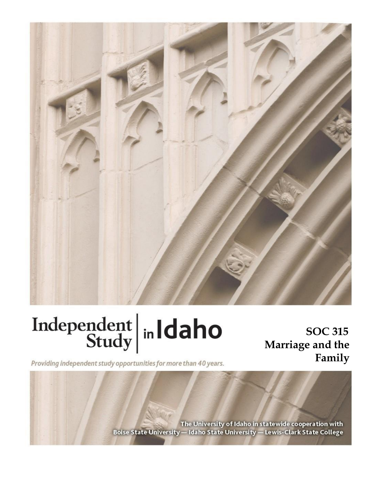

# Independent  $\left|\frac{\text{ind}}{\text{Study}}\right|$  in Idaho

**SOC 315 Marriage and the Family**

Providing independent study opportunities for more than 40 years.

The University of Idaho in statewide cooperation with Boise State University - Idaho State University - Lewis-Clark State College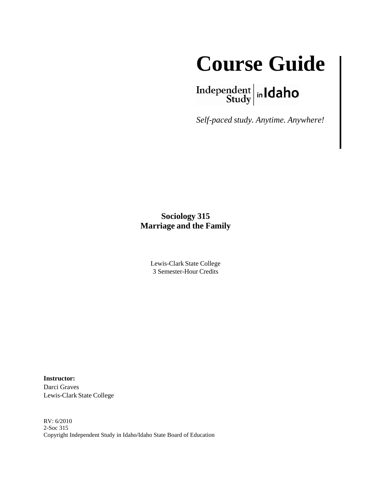

 $\left.\begin{array}{c|c} \textbf{Independent} & \textbf{h} \\ \textbf{Study} & \textbf{h} \end{array}\right.$ 

*Self-paced study. Anytime. Anywhere!*

### **Sociology 315 Marriage and the Family**

Lewis-Clark State College 3 Semester-Hour Credits

**Instructor:** Darci Graves Lewis-Clark State College

RV: 6/2010 2-Soc 315 Copyright Independent Study in Idaho/Idaho State Board of Education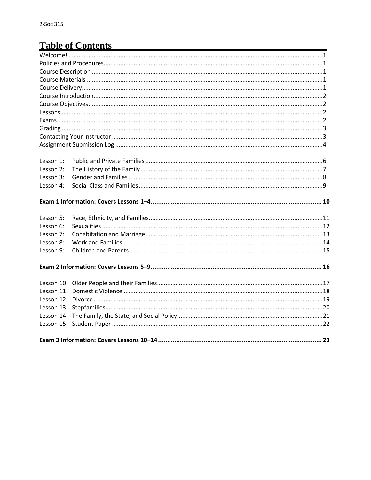# **Table of Contents**

| Lesson 1: |  |
|-----------|--|
| Lesson 2: |  |
| Lesson 3: |  |
| Lesson 4: |  |
|           |  |
| Lesson 5: |  |
| Lesson 6: |  |
| Lesson 7: |  |
| Lesson 8: |  |
| Lesson 9: |  |
|           |  |
|           |  |
|           |  |
|           |  |
|           |  |
|           |  |
|           |  |
|           |  |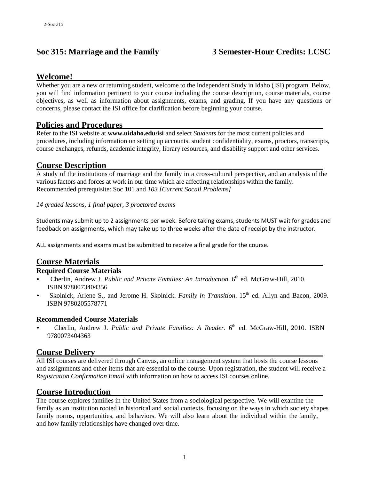#### **Soc 315: Marriage and the Family 3 Semester-Hour Credits: LCSC**

#### **Welcome!**

Whether you are a new or returning student, welcome to the Independent Study in Idaho (ISI) program. Below, you will find information pertinent to your course including the course description, course materials, course objectives, as well as information about assignments, exams, and grading. If you have any questions or concerns, please contact the ISI office for clarification before beginning your course.

#### **Policies and Procedures**

Refer to the ISI website at **www.uidaho.edu/isi** and select *Students* for the most current policies and procedures, including information on setting up accounts, student confidentiality, exams, proctors, transcripts, course exchanges, refunds, academic integrity, library resources, and disability support and other services.

#### **Course Description**

A study of the institutions of marriage and the family in a cross-cultural perspective, and an analysis of the various factors and forces at work in our time which are affecting relationships within the family. Recommended prerequisite: Soc 101 and *103 [Current Socail Problems]*

#### *14 graded lessons, 1 final paper, 3 proctored exams*

Students may submit up to 2 assignments per week. Before taking exams, students MUST wait for grades and feedback on assignments, which may take up to three weeks after the date of receipt by the instructor.

ALL assignments and exams must be submitted to receive a final grade for the course.

#### **Course Materials**

#### **Required Course Materials**

- Cherlin, Andrew J. *Public and Private Families: An Introduction*. 6 th ed. McGraw-Hill, 2010. ISBN 9780073404356
- Skolnick, Arlene S., and Jerome H. Skolnick. *Family in Transition*. 15<sup>th</sup> ed. Allyn and Bacon, 2009. ISBN 9780205578771

#### **Recommended Course Materials**

• Cherlin, Andrew J. *Public and Private Families: A Reader*. 6 th ed. McGraw-Hill, 2010. ISBN 9780073404363

#### **Course Delivery**

All ISI courses are delivered through Canvas, an online management system that hosts the course lessons and assignments and other items that are essential to the course. Upon registration, the student will receive a *Registration Confirmation Email* with information on how to access ISI courses online.

#### **Course Introduction**

The course explores families in the United States from a sociological perspective. We will examine the family as an institution rooted in historical and social contexts, focusing on the ways in which society shapes family norms, opportunities, and behaviors. We will also learn about the individual within the family, and how family relationships have changed over time.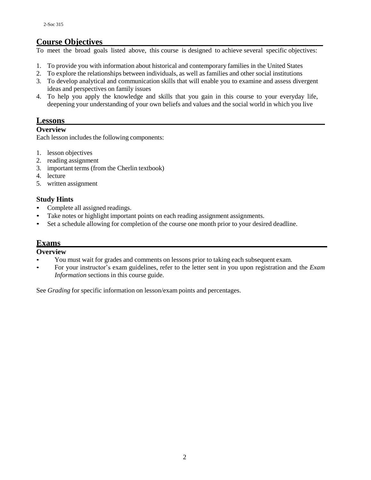#### **Course Objectives**

To meet the broad goals listed above, this course is designed to achieve several specific objectives:

- 1. To provide you with information about historical and contemporary families in the United States
- 2. To explore the relationships between individuals, as well as families and other social institutions
- 3. To develop analytical and communication skills that will enable you to examine and assess divergent ideas and perspectives on family issues
- 4. To help you apply the knowledge and skills that you gain in this course to your everyday life, deepening your understanding of your own beliefs and values and the social world in which you live

#### **Lessons**

#### **Overview**

Each lesson includes the following components:

- 1. lesson objectives
- 2. reading assignment
- 3. important terms (from the Cherlin textbook)
- 4. lecture
- 5. written assignment

#### **Study Hints**

- Complete all assigned readings.
- Take notes or highlight important points on each reading assignment assignments.
- Set a schedule allowing for completion of the course one month prior to your desired deadline.

#### **Exams**

#### **Overview**

- You must wait for grades and comments on lessons prior to taking each subsequent exam.
- For your instructor's exam guidelines, refer to the letter sent in you upon registration and the *Exam Information* sections in this course guide.

See *Grading* for specific information on lesson/exam points and percentages.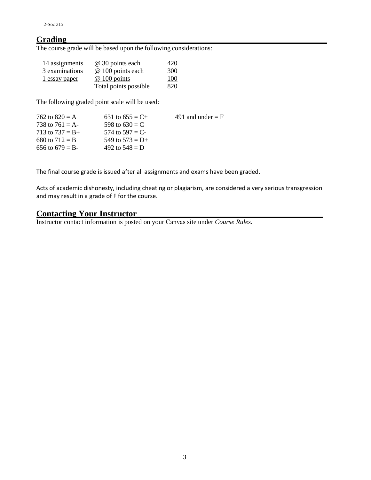#### **Grading**

The course grade will be based upon the following considerations:

| 14 assignments | @ 30 points each      | 420 |
|----------------|-----------------------|-----|
| 3 examinations | @ 100 points each     | 300 |
| 1 essay paper  | $@100$ points         | 100 |
|                | Total points possible | 820 |

The following graded point scale will be used:

| 762 to $820 = A$   | 631 to $655 = C +$ | 491 and under $=$ F |
|--------------------|--------------------|---------------------|
| 738 to 761 = A-    | 598 to $630 = C$   |                     |
| 713 to $737 = B +$ | 574 to 597 = C-    |                     |
| 680 to $712 = B$   | 549 to $573 = D+$  |                     |
| 656 to 679 = B-    | 492 to $548 = D$   |                     |

The final course grade is issued after all assignments and exams have been graded.

Acts of academic dishonesty, including cheating or plagiarism, are considered a very serious transgression and may result in a grade of F for the course.

#### **Contacting Your Instructor**

Instructor contact information is posted on your Canvas site under *Course Rules.*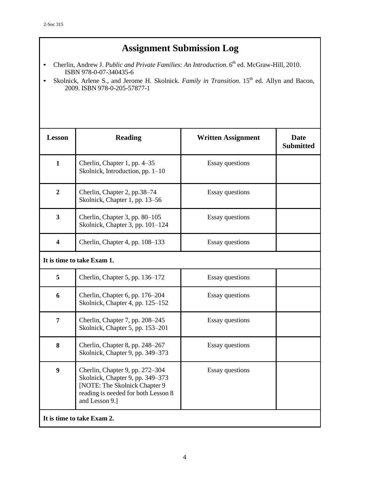# **Assignment Submission Log**

- Cherlin, Andrew J. *Public and Private Families: An Introduction*. 6 th ed. McGraw-Hill, 2010. ISBN 978-0-07-340435-6
- Skolnick, Arlene S., and Jerome H. Skolnick. *Family in Transition*. 15 th ed. Allyn and Bacon, 2009. ISBN 978-0-205-57877-1

| <b>Lesson</b>              | <b>Reading</b>                                                                                                                                                | <b>Written Assignment</b> | <b>Date</b><br><b>Submitted</b> |  |
|----------------------------|---------------------------------------------------------------------------------------------------------------------------------------------------------------|---------------------------|---------------------------------|--|
| $\mathbf{1}$               | Cherlin, Chapter 1, pp. 4–35<br>Skolnick, Introduction, pp. 1-10                                                                                              | <b>Essay questions</b>    |                                 |  |
| $\overline{2}$             | Cherlin, Chapter 2, pp.38-74<br>Skolnick, Chapter 1, pp. 13–56                                                                                                | <b>Essay questions</b>    |                                 |  |
| $\overline{\mathbf{3}}$    | Cherlin, Chapter 3, pp. 80–105<br>Skolnick, Chapter 3, pp. 101-124                                                                                            | <b>Essay questions</b>    |                                 |  |
| $\overline{\mathbf{4}}$    | Cherlin, Chapter 4, pp. 108-133                                                                                                                               | <b>Essay questions</b>    |                                 |  |
| It is time to take Exam 1. |                                                                                                                                                               |                           |                                 |  |
| 5                          | Cherlin, Chapter 5, pp. 136–172                                                                                                                               | <b>Essay questions</b>    |                                 |  |
| 6                          | Cherlin, Chapter 6, pp. 176-204<br>Skolnick, Chapter 4, pp. 125–152                                                                                           | <b>Essay questions</b>    |                                 |  |
| $\overline{7}$             | Cherlin, Chapter 7, pp. 208–245<br>Skolnick, Chapter 5, pp. 153-201                                                                                           | <b>Essay questions</b>    |                                 |  |
| 8                          | Cherlin, Chapter 8, pp. 248–267<br>Skolnick, Chapter 9, pp. 349–373                                                                                           | <b>Essay questions</b>    |                                 |  |
| $\boldsymbol{9}$           | Cherlin, Chapter 9, pp. 272–304<br>Skolnick, Chapter 9, pp. 349-373<br>[NOTE: The Skolnick Chapter 9<br>reading is needed for both Lesson 8<br>and Lesson 9.] | <b>Essay questions</b>    |                                 |  |
| It is time to take Exam 2. |                                                                                                                                                               |                           |                                 |  |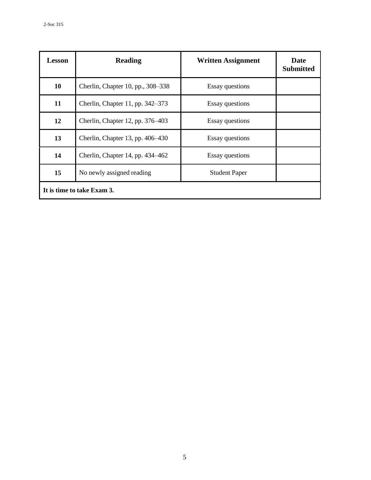| <b>Lesson</b>              | <b>Reading</b>                    | <b>Written Assignment</b> | <b>Date</b><br><b>Submitted</b> |  |
|----------------------------|-----------------------------------|---------------------------|---------------------------------|--|
| 10                         | Cherlin, Chapter 10, pp., 308-338 | <b>Essay questions</b>    |                                 |  |
| 11                         | Cherlin, Chapter 11, pp. 342–373  | <b>Essay questions</b>    |                                 |  |
| 12                         | Cherlin, Chapter 12, pp. 376–403  | <b>Essay questions</b>    |                                 |  |
| 13                         | Cherlin, Chapter 13, pp. 406–430  | <b>Essay questions</b>    |                                 |  |
| 14                         | Cherlin, Chapter 14, pp. 434–462  | <b>Essay questions</b>    |                                 |  |
| 15                         | No newly assigned reading         | <b>Student Paper</b>      |                                 |  |
| It is time to take Exam 3. |                                   |                           |                                 |  |